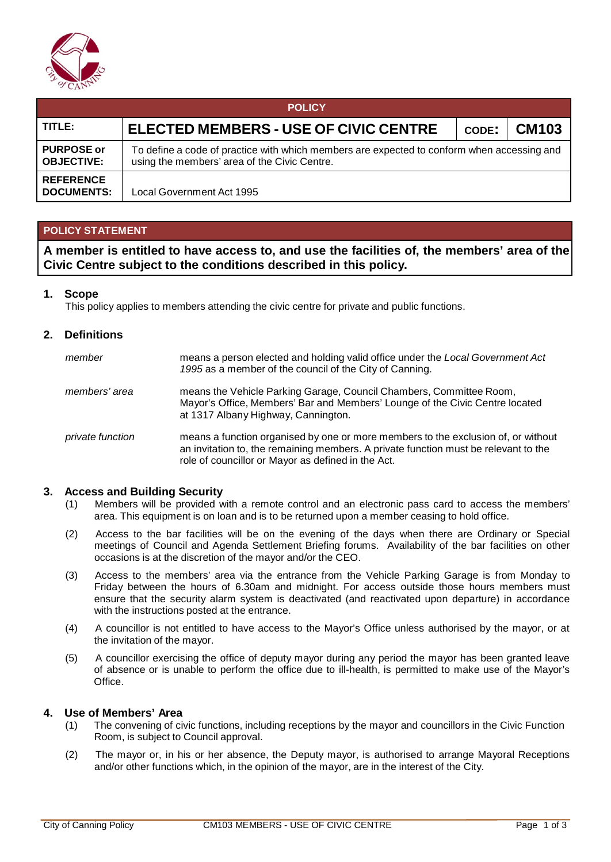

| <b>POLICY</b>                          |                                                                                                                                            |       |              |  |  |  |  |
|----------------------------------------|--------------------------------------------------------------------------------------------------------------------------------------------|-------|--------------|--|--|--|--|
| TITLE:                                 | ELECTED MEMBERS - USE OF CIVIC CENTRE                                                                                                      | CODE: | <b>CM103</b> |  |  |  |  |
| <b>PURPOSE or</b><br><b>OBJECTIVE:</b> | To define a code of practice with which members are expected to conform when accessing and<br>using the members' area of the Civic Centre. |       |              |  |  |  |  |
| <b>REFERENCE</b><br><b>DOCUMENTS:</b>  | Local Government Act 1995                                                                                                                  |       |              |  |  |  |  |

### **POLICY STATEMENT**

**A member is entitled to have access to, and use the facilities of, the members' area of the Civic Centre subject to the conditions described in this policy.**

#### **1. Scope**

This policy applies to members attending the civic centre for private and public functions.

#### **2. Definitions**

| member           | means a person elected and holding valid office under the Local Government Act<br>1995 as a member of the council of the City of Canning.                                                                                      |
|------------------|--------------------------------------------------------------------------------------------------------------------------------------------------------------------------------------------------------------------------------|
| members' area    | means the Vehicle Parking Garage, Council Chambers, Committee Room,<br>Mayor's Office, Members' Bar and Members' Lounge of the Civic Centre located<br>at 1317 Albany Highway, Cannington.                                     |
| private function | means a function organised by one or more members to the exclusion of, or without<br>an invitation to, the remaining members. A private function must be relevant to the<br>role of councillor or Mayor as defined in the Act. |

#### **3. Access and Building Security**

- (1) Members will be provided with a remote control and an electronic pass card to access the members' area. This equipment is on loan and is to be returned upon a member ceasing to hold office.
- (2) Access to the bar facilities will be on the evening of the days when there are Ordinary or Special meetings of Council and Agenda Settlement Briefing forums. Availability of the bar facilities on other occasions is at the discretion of the mayor and/or the CEO.
- (3) Access to the members' area via the entrance from the Vehicle Parking Garage is from Monday to Friday between the hours of 6.30am and midnight. For access outside those hours members must ensure that the security alarm system is deactivated (and reactivated upon departure) in accordance with the instructions posted at the entrance.
- (4) A councillor is not entitled to have access to the Mayor's Office unless authorised by the mayor, or at the invitation of the mayor.
- (5) A councillor exercising the office of deputy mayor during any period the mayor has been granted leave of absence or is unable to perform the office due to ill-health, is permitted to make use of the Mayor's Office.

#### **4. Use of Members' Area**

- (1) The convening of civic functions, including receptions by the mayor and councillors in the Civic Function Room, is subject to Council approval.
- (2) The mayor or, in his or her absence, the Deputy mayor, is authorised to arrange Mayoral Receptions and/or other functions which, in the opinion of the mayor, are in the interest of the City.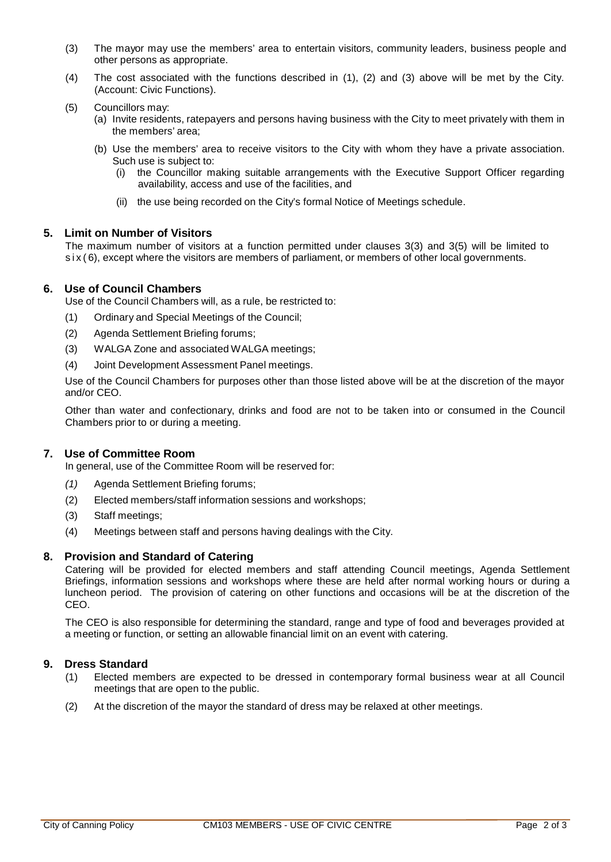- (3) The mayor may use the members' area to entertain visitors, community leaders, business people and other persons as appropriate.
- (4) The cost associated with the functions described in (1), (2) and (3) above will be met by the City. (Account: Civic Functions).
- (5) Councillors may:
	- (a) Invite residents, ratepayers and persons having business with the City to meet privately with them in the members' area;
	- (b) Use the members' area to receive visitors to the City with whom they have a private association. Such use is subject to:
		- (i) the Councillor making suitable arrangements with the Executive Support Officer regarding availability, access and use of the facilities, and
		- (ii) the use being recorded on the City's formal Notice of Meetings schedule.

#### **5. Limit on Number of Visitors**

The maximum number of visitors at a function permitted under clauses 3(3) and 3(5) will be limited to six (6), except where the visitors are members of parliament, or members of other local governments.

#### **6. Use of Council Chambers**

Use of the Council Chambers will, as a rule, be restricted to:

- (1) Ordinary and Special Meetings of the Council;
- (2) Agenda Settlement Briefing forums;
- (3) WALGA Zone and associated WALGA meetings;
- (4) Joint Development Assessment Panel meetings.

Use of the Council Chambers for purposes other than those listed above will be at the discretion of the mayor and/or CEO.

Other than water and confectionary, drinks and food are not to be taken into or consumed in the Council Chambers prior to or during a meeting.

#### **7. Use of Committee Room**

In general, use of the Committee Room will be reserved for:

- *(1)* Agenda Settlement Briefing forums;
- (2) Elected members/staff information sessions and workshops;
- (3) Staff meetings;
- (4) Meetings between staff and persons having dealings with the City.

#### **8. Provision and Standard of Catering**

Catering will be provided for elected members and staff attending Council meetings, Agenda Settlement Briefings, information sessions and workshops where these are held after normal working hours or during a luncheon period. The provision of catering on other functions and occasions will be at the discretion of the CEO.

The CEO is also responsible for determining the standard, range and type of food and beverages provided at a meeting or function, or setting an allowable financial limit on an event with catering.

#### **9. Dress Standard**

- (1) Elected members are expected to be dressed in contemporary formal business wear at all Council meetings that are open to the public.
- (2) At the discretion of the mayor the standard of dress may be relaxed at other meetings.